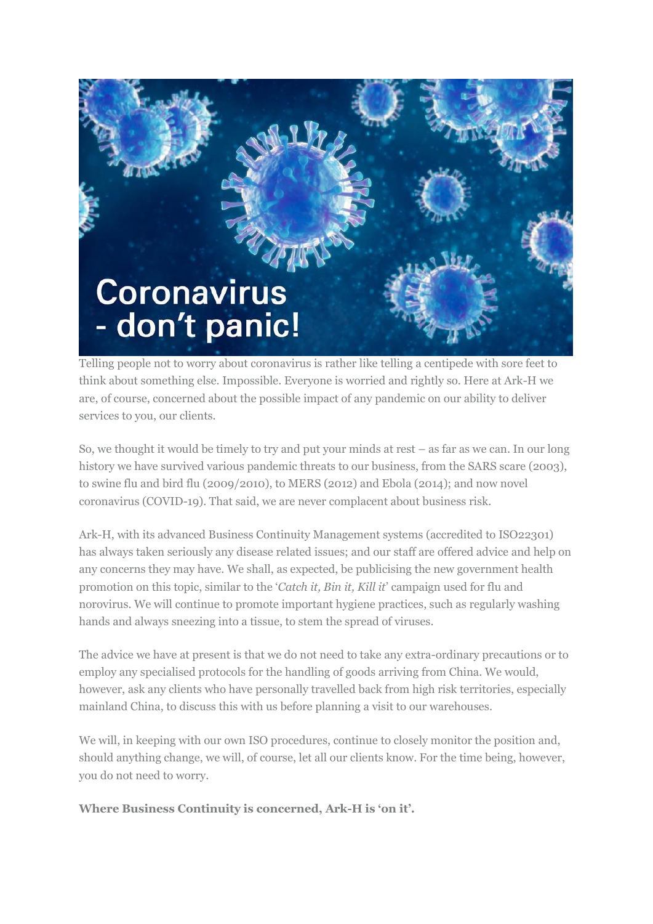

Telling people not to worry about coronavirus is rather like telling a centipede with sore feet to think about something else. Impossible. Everyone is worried and rightly so. Here at Ark-H we are, of course, concerned about the possible impact of any pandemic on our ability to deliver services to you, our clients.

So, we thought it would be timely to try and put your minds at rest – as far as we can. In our long history we have survived various pandemic threats to our business, from the SARS scare (2003), to swine flu and bird flu (2009/2010), to MERS (2012) and Ebola (2014); and now novel coronavirus (COVID-19). That said, we are never complacent about business risk.

Ark-H, with its advanced Business Continuity Management systems (accredited to ISO22301) has always taken seriously any disease related issues; and our staff are offered advice and help on any concerns they may have. We shall, as expected, be publicising the new government health promotion on this topic, similar to the '*Catch it, Bin it, Kill it*' campaign used for flu and norovirus. We will continue to promote important hygiene practices, such as regularly washing hands and always sneezing into a tissue, to stem the spread of viruses.

The advice we have at present is that we do not need to take any extra-ordinary precautions or to employ any specialised protocols for the handling of goods arriving from China. We would, however, ask any clients who have personally travelled back from high risk territories, especially mainland China, to discuss this with us before planning a visit to our warehouses.

We will, in keeping with our own ISO procedures, continue to closely monitor the position and, should anything change, we will, of course, let all our clients know. For the time being, however, you do not need to worry.

**Where Business Continuity is concerned, Ark-H is 'on it'.**